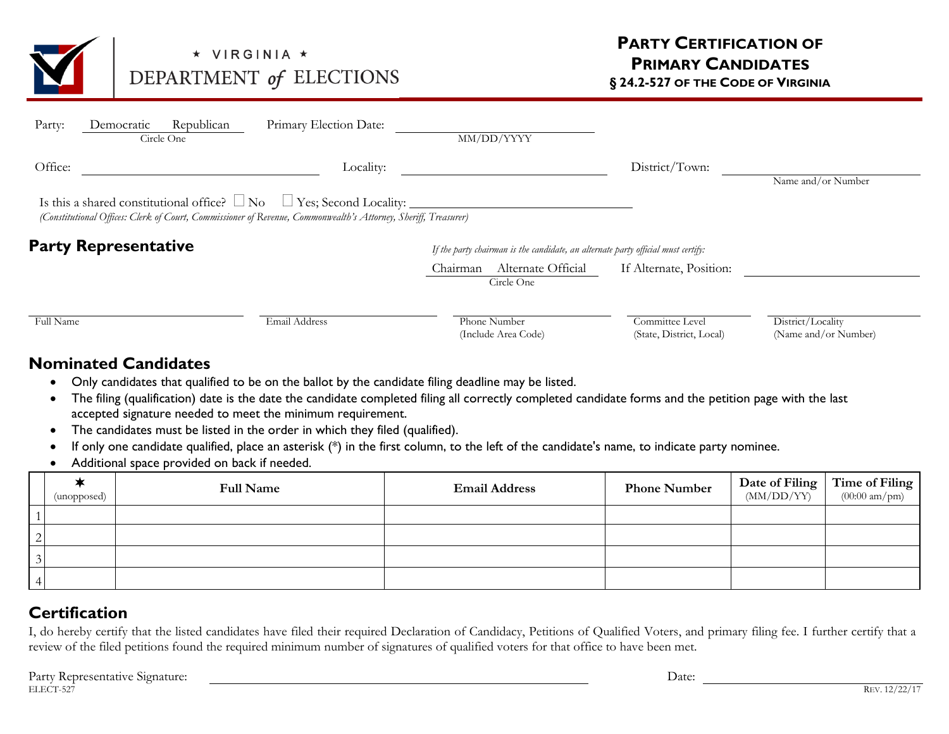

## ★ VIRGINIA ★ DEPARTMENT of ELECTIONS

| Party:                      | Democratic | Republican<br>Circle One | Primary Election Date:                                                                                                                                                                           |                                                                                   | MM/DD/YYYY                          |                                             |                                           |
|-----------------------------|------------|--------------------------|--------------------------------------------------------------------------------------------------------------------------------------------------------------------------------------------------|-----------------------------------------------------------------------------------|-------------------------------------|---------------------------------------------|-------------------------------------------|
| Office:                     |            |                          | Locality:                                                                                                                                                                                        |                                                                                   |                                     | District/Town:                              | Name and/or Number                        |
|                             |            |                          | Is this a shared constitutional office? $\Box$ No $\Box$ Yes; Second Locality:<br>(Constitutional Offices: Clerk of Court, Commissioner of Revenue, Commonwealth's Attorney, Sheriff, Treasurer) |                                                                                   |                                     |                                             |                                           |
| <b>Party Representative</b> |            |                          |                                                                                                                                                                                                  | If the party chairman is the candidate, an alternate party official must certify: |                                     |                                             |                                           |
|                             |            |                          |                                                                                                                                                                                                  | Chairman                                                                          | Alternate Official<br>Circle One    | If Alternate, Position:                     |                                           |
| Full Name                   |            |                          | Email Address                                                                                                                                                                                    |                                                                                   | Phone Number<br>(Include Area Code) | Committee Level<br>(State, District, Local) | District/Locality<br>(Name and/or Number) |

## **Nominated Candidates**

- Only candidates that qualified to be on the ballot by the candidate filing deadline may be listed.
- The filing (qualification) date is the date the candidate completed filing all correctly completed candidate forms and the petition page with the last accepted signature needed to meet the minimum requirement.
- The candidates must be listed in the order in which they filed (qualified).
- If only one candidate qualified, place an asterisk (\*) in the first column, to the left of the candidate's name, to indicate party nominee.
- Additional space provided on back if needed.

|          | (unopposed) | <b>Full Name</b> | <b>Email Address</b> | <b>Phone Number</b> | $\begin{array}{ c c c }\n\hline\n\textbf{Date of Filing} & \textbf{Time of Filing} & \textbf{[MMI/DD/YY)} & \textbf{[O0:00 am/mm)}\n\hline\n\end{array}$ |
|----------|-------------|------------------|----------------------|---------------------|----------------------------------------------------------------------------------------------------------------------------------------------------------|
|          |             |                  |                      |                     |                                                                                                                                                          |
| $\Omega$ |             |                  |                      |                     |                                                                                                                                                          |
|          |             |                  |                      |                     |                                                                                                                                                          |
|          |             |                  |                      |                     |                                                                                                                                                          |

## **Certification**

I, do hereby certify that the listed candidates have filed their required Declaration of Candidacy, Petitions of Qualified Voters, and primary filing fee. I further certify that a review of the filed petitions found the required minimum number of signatures of qualified voters for that office to have been met.

| Party<br>e Signature <sup>.</sup><br>sentative<br>Kenres | Date: |             |
|----------------------------------------------------------|-------|-------------|
| ELECT-527                                                |       | R⊡<br>1 V.L |